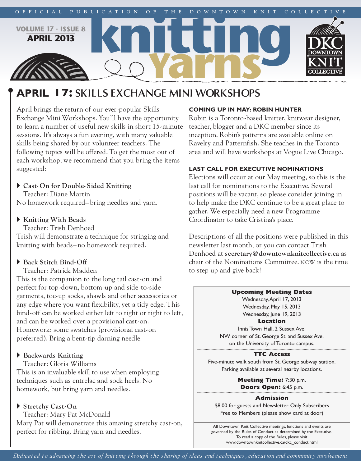

# **apriL 17: SKILLS EXCHANGE MINI WORKSHOPS**

April brings the return of our ever-popular Skills Exchange Mini Workshops. You'll have the opportunity to learn a number of useful new skills in short 15-minute sessions. It's always a fun evening, with many valuable skills being shared by our volunteer teachers. The following topics will be offered. To get the most out of each workshop, we recommend that you bring the items suggested:

## <sup>u</sup> **Cast- On for Double- Sided Knitting**

Teacher: Diane Martin No homework required– bring needles and yarn.

## <sup>u</sup> **Knitting With Beads**

Teacher: Trish Denhoed Trish will demonstrate a technique for stringing and knitting with beads– no homework required.

# $\blacktriangleright$  Back Stitch Bind-Off

Teacher: Patrick Madden

This is the companion to the long tail cast-on and perfect for top-down, bottom-up and side-to-side garments, toe-up socks, shawls and other accessories or any edge where you want flexibility, yet a tidy edge. This bind-off can be worked either left to right or right to left, and can be worked over a provisional cast-on. Homework: some swatches (provisional cast-on preferred). Bring a bent-tip darning needle.

# **Backwards** Knitting

Teacher: Gloria Williams

This is an invaluable skill to use when employing techniques such as entrelac and sock heels. No homework, but bring yarn and needles.

# <sup>u</sup> **Stretchy Cast- On**

Teacher: Mary Pat McDonald Mary Pat will demonstrate this amazing stretchy cast-on, perfect for ribbing. Bring yarn and needles.

## **coming up in may: robin hunter**

Robin is a Toronto-based knitter, knitwear designer, teacher, blogger and a DKC member since its inception. Robin's patterns are available online on Ravelry and Patternfish. She teaches in the Toronto area and will have workshops at Vogue Live Chicago.

## **Last caLL for executive nominations**

Elections will occur at our May meeting, so this is the last call for nominations to the Executive. Several positions will be vacant, so please consider joining in to help make the DKC continue to be a great place to gather. We especially need a new Programme Coordinator to take Cristina's place.

Descriptions of all the positions were published in this newsletter last month, or you can contact Trish Denhoed at **secretary@downtownknitcollective.ca** as chair of the Nominations Committee. NOW is the time to step up and give back!

#### **Upcoming Meeting Dates**

Wednesday,April 17, 2013 Wednesday, May 15, 2013 Wednesday, June 19, 2013 **Location**

Innis Town Hall, 2 Sussex Ave. NW corner of St. George St. and Sussex Ave. on the University of Toronto campus.

#### **TTC Access**

Five-minute walk south from St. George subway station. Parking available at several nearby locations.

> **Meeting Time:** 7:30 p.m. **Doors Open:** 6:45 p.m.

#### **Admission**

\$8.00 for guests and Newsletter Only Subscribers Free to Members (please show card at door)

All Downtown Knit Collective meetings, functions and events are governed by the Rules of Conduct as determined by the Executive. To read a copy of the Rules, please visit www.downtownknitcollective.ca/dkc\_conduct.html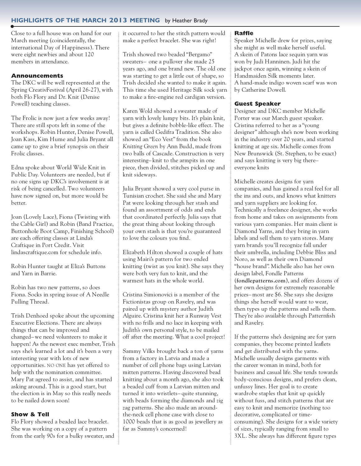## **highLights of the march 2013 meeting** by Heather Brady

Close to a full house was on hand for our March meeting (coincidentally, the international Day of Happinesss). There were eight newbies and about 120 members in attendance.

## **Announcements**

The DKC will be well represented at the Spring CreativFestival (April 26-27), with both Flo Flory and Dr. Knit (Denise Powell) teaching classes.

The Frolic is now just a few weeks away! There are still spots left in some of the workshops. Robin Hunter, Denise Powell, Joan Kass, Kim Hume and Julia Bryant all came up to give a brief synopsis on their Frolic classes.

Edna spoke about World Wide Knit in Public Day. Volunteers are needed, but if no one signs up DKC's involvement is at risk of being cancelled. Two volunteers have now signed on, but more would be better.

Joan (Lovely Lace), Fiona (Twisting with the Cable Girl) and Robin (Band Practice, Buttonhole Boot Camp, Finishing School) are each offering classes at Linda's Craftique in Port Credit. Visit lindascraftique.com for schedule info.

Robin Hunter taught at Eliza's Buttons and Yarn in Barrie.

Robin has two new patterns, so does Fiona. Socks in spring issue of A Needle Pulling Thread.

Trish Denhoed spoke about the upcoming Executive Elections. There are always things that can be improved and changed–we need volunteers to make it happen! As the newest exec member, Trish says she's learned a lot and it's been a very interesting year with lots of new opportunities. NO ONE has yet offered to help with the nomination committee. Mary Pat agreed to assist, and has started asking around. This is a good start, but the election is in May so this really needs to be nailed down soon!

#### **Show & Tell**

Flo Flory showed a beaded lace bracelet. She was working on a copy of a pattern from the early 90s for a bulky sweater, and it occurred to her the stitch pattern would make a perfect bracelet. She was right!

Trish showed two beaded "Bergamo" sweaters– one a pullover she made 25 years ago, and one brand new. The old one was starting to get a little out of shape, so Trish decided she wanted to make it again. This time she used Heritage Silk sock yarn to make a fire-engine red cardigan version.

Karen Wold showed a sweater made of yarn with lovely lumpy bits. It's plain knit, but gives a definite bobble-like effect. The yarn is called Gedifra Tradition. She also showed an "Eco Vest" from the book *Knitting Green* by Ann Budd, made from two balls of Cascade. Construction is very interesting– knit to the armpits in one piece, then divided, stitches picked up and knit sideways.

Julia Bryant showed a very cool purse in Tunisian crochet. She said she and Mary Pat were looking through her stash and found an assortment of odds and ends that coordinated perfectly. Julia says that the great thing about looking through your own stash is that you're guaranteed to love the colours you find.

Elizabeth Hilton showed a couple of hats using Mairi's pattern for two ended knitting (twist as you knit). She says they were both very fun to knit, and the warmest hats in the whole world.

Cristina Simionovici is a member of the Fictionistas group on Ravelry, and was paired up with mystery author Judith Alguire. Cristina knit her a Runway Vest with no frills and no lace in keeping with Judith's own personal style, to be mailed off after the meeting. What a cool project!

Sammy Vilks brought back a ton of yarns from a factory in Latvia and made a number of cell phone bags using Latvian mitten patterns. Having discovered bead knitting about a month ago, she also took a beaded cuff from a Latvian mitten and turned it into wristlets– quite stunning, with beads forming the diamonds and zig zag patterns. She also made an aroundthe-neck cell phone case with close to 1000 beads that is as good as jewellery as far as Sammy's concerned!

#### **Raffle**

Speaker Michelle drew for prizes, saying she might as well make herself useful. A skein of Patons lace sequin yarn was won by Judi Hanninen. Judi hit the jackpot once again, winning a skein of Handmaiden Silk moments later. A hand-made indigo woven scarf was won by Catherine Dowell.

#### **Guest Speaker**

Designer and DKC member Michelle Porter was our March guest speaker. Cristina referred to her as a "young designer" although she's now been working in the industry over 20 years, and started knitting at age six. Michelle comes from New Brunswick (St. Stephen, to be exact) and says knitting is very big there– everyone knits

Michelle creates designs for yarn companies, and has gained a real feel for all the ins and outs, and knows what knitters and yarn suppliers are looking for. Technically a freelance designer, she works from home and takes on assignments from various yarn companies. Her main client is Diamond Yarns, and they bring in yarn labels and sell them to yarn stores. Many yarn brands you'll recognize fall under their umbrella, including Debbie Bliss and Noro, as well as their own Diamond "house brand". Michelle also has her own design label, Fondle Patterns (**fondlepatterns.com**), and offers dozens of her own designs for extremely reasonable prices–most are \$6. She says she designs things she herself would want to wear, then types up the patterns and sells them. They're also available through Patternfish and Ravelry.

If the patterns she's designing are for yarn companies, they become printed leaflets and get distributed with the yarns. Michelle usually designs garments with the career woman in mind, both for business and casual life. She tends towards body-conscious designs, and prefers clean, unfussy lines. Her goal is to create wardrobe staples that knit up quickly without fuss, and stitch patterns that are easy to knit and memorize (nothing too decorative, complicated or timeconsuming). She designs for a wide variety of sizes, typically ranging from small to 3XL. She always has different figure types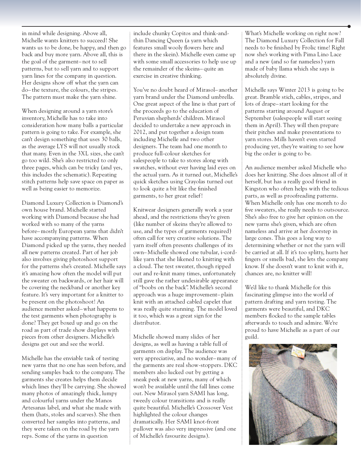in mind while designing. Above all, Michelle wants knitters to succeed! She wants us to be done, be happy, and then go back and buy more yarn. Above all, this is the goal of the garment– not to sell patterns, but to sell yarn and to support yarn lines for the company in question. Her designs show off what the yarn can do– the texture, the colours, the stripes. The pattern must make the yarn shine.

When designing around a yarn store's inventory, Michelle has to take into consideration how many balls a particular pattern is going to take. For example, she can't design something that uses 30 balls, as the average LYS will not usually stock that many. Even in the 3XL sizes, she can't go too wild. She's also restricted to only three pages, which can be tricky (and yes, this includes the schematic). Repeating stitch patterns help save space on paper as well as being easier to memorize.

Diamond Luxury Collection is Diamond's own house brand. Michelle started working with Diamond because she had worked with so many of the yarns before–mostly European yarns that didn't have accompanying patterns. When Diamond picked up the yarns, they needed all new patterns created. Part of her job also involves giving photoshoot support for the patterns she's created. Michelle says it's amazing how often the model will put the sweater on backwards, or her hair will be covering the neckband or another key feature. It's very important for a knitter to be present on the photoshoot! An audience member asked–what happens to the test garments when photography is done? They get boxed up and go on the road as part of trade show displays with pieces from other designers. Michelle's designs get out and see the world.

Michelle has the enviable task of testing new yarns that no one has seen before, and sending samples back to the company. The garments she creates helps them decide which lines they'll be carrying. She showed many photos of amazingly thick, lumpy and colourful yarns under the Manos Artesanas label, and what she made with them (hats, stoles and scarves). She then converted her samples into patterns, and they were taken on the road by the yarn reps. Some of the yarns in question

include chunky Copitos and think-andthin Dancing Queen (a yarn which features small wooly flowers here and there in the skein). Michelle even came up with some small accessories to help use up the remainder of the skeins– quite an exercise in creative thinking.

You've no doubt heard of Mirasol– another yarn brand under the Diamond umbrella. One great aspect of the line is that part of the proceeds go to the education of Peruvian shepherds' children. Mirasol decided to undertake a new approach in 2012, and put together a design team including Michelle and two other designers. The team had one month to produce full-colour sketches for salespeople to take to stores along with swatches, without ever having laid eyes on the actual yarn. As it turned out, Michelle's quick sketches using Crayolas turned out to look quite a bit like the finished garments, to her great relief!

Knitwear designers generally work a year ahead, and the restrictions they're given (like number of skeins they're allowed to use, and the types of garments required) often call for very creative solutions. The yarn itself often presents challenges of its own–Michelle showed one tubular, i-cordlike yarn that she likened to knitting with a cloud. The test sweater, though ripped out and re-knit many times, unfortunately still gave the rather undesirable appearance of "boobs on the back". Michelle's second approach was a huge improvement– plain knit with an attached cabled capelet that was really quite stunning. The model loved it too, which was a great sign for the distributor.

Michelle showed many slides of her designs, as well as having a table full of garments on display. The audience was very appreciative, and no wonder–many of the garments are real show-stoppers. DKC members also lucked out by getting a sneak peek at new yarns, many of which won't be available until the fall lines come out. New Mirasol yarn SAMI has long, tweedy colour transitions and is really quite beautiful. Michelle's Crossover Vest highlighted the colour changes dramatically. Her SAMI knot-front pullover was also very impressive (and one of Michelle's favourite designs).

What's Michelle working on right now? The Diamond Luxury Collection for Fall needs to be finished by Frolic time! Right now she's working with Pima Lino Lace and a new (and so far nameless) yarn made of baby llama which she says is absolutely divine.

Michelle says Winter 2013 is going to be great. Bramble stich, cables, stripes, and lots of drape– start looking for the patterns starting around August or September (salespeople will start seeing them in April). They will then prepare their pitches and make presentations to yarn stores. Mills haven't even started producing yet, they're waiting to see how big the order is going to be.

An audience member asked Michelle who does her knitting. She does almost all of it herself, but has a really good friend in Kingston who often helps with the tedious parts, as well as proofreading patterns. When Michelle only has one month to do five sweaters, she really needs to outsource. She's also free to give her opinion on the new yarns she's given, which are often nameless and arrive at her doorstep in large cones. This goes a long way to determining whether or not the yarn will be carried at all. If it's too splitty, hurts her fingers or smells bad, she lets the company know. If she doesn't want to knit with it, chances are, no knitter will!

We'd like to thank Michelle for this fascinating glimpse into the world of pattern drafting and yarn testing. The garments were beautiful, and DKC members flocked to the sample tables afterwards to touch and admire. We're proud to have Michelle as a part of our guild.